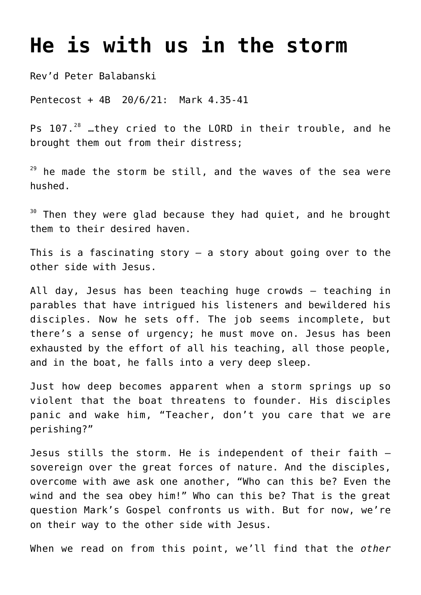## **[He is with us in the storm](http://stjohnsadelaide.org.au/he-is-with-us-in-the-storm/)**

Rev'd Peter Balabanski

Pentecost + 4B 20/6/21: Mark 4.35-41

Ps 107.<sup>28</sup> …they cried to the LORD in their trouble, and he brought them out from their distress;

 $29$  he made the storm be still, and the waves of the sea were hushed.

 $30$  Then they were glad because they had quiet, and he brought them to their desired haven.

This is a fascinating story  $-$  a story about going over to the other side with Jesus.

All day, Jesus has been teaching huge crowds – teaching in parables that have intrigued his listeners and bewildered his disciples. Now he sets off. The job seems incomplete, but there's a sense of urgency; he must move on. Jesus has been exhausted by the effort of all his teaching, all those people, and in the boat, he falls into a very deep sleep.

Just how deep becomes apparent when a storm springs up so violent that the boat threatens to founder. His disciples panic and wake him, "Teacher, don't you care that we are perishing?"

Jesus stills the storm. He is independent of their faith – sovereign over the great forces of nature. And the disciples, overcome with awe ask one another, "Who can this be? Even the wind and the sea obey him!" Who can this be? That is the great question Mark's Gospel confronts us with. But for now, we're on their way to the other side with Jesus.

When we read on from this point, we'll find that the *other*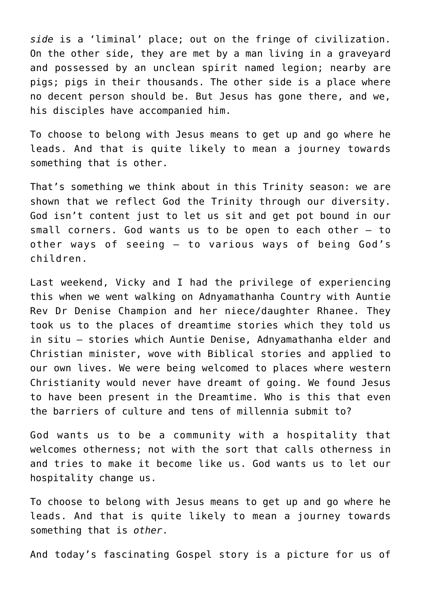*side* is a 'liminal' place; out on the fringe of civilization. On the other side, they are met by a man living in a graveyard and possessed by an unclean spirit named legion; nearby are pigs; pigs in their thousands. The other side is a place where no decent person should be. But Jesus has gone there, and we, his disciples have accompanied him.

To choose to belong with Jesus means to get up and go where he leads. And that is quite likely to mean a journey towards something that is other.

That's something we think about in this Trinity season: we are shown that we reflect God the Trinity through our diversity. God isn't content just to let us sit and get pot bound in our small corners. God wants us to be open to each other – to other ways of seeing – to various ways of being God's children.

Last weekend, Vicky and I had the privilege of experiencing this when we went walking on Adnyamathanha Country with Auntie Rev Dr Denise Champion and her niece/daughter Rhanee. They took us to the places of dreamtime stories which they told us in situ – stories which Auntie Denise, Adnyamathanha elder and Christian minister, wove with Biblical stories and applied to our own lives. We were being welcomed to places where western Christianity would never have dreamt of going. We found Jesus to have been present in the Dreamtime. Who is this that even the barriers of culture and tens of millennia submit to?

God wants us to be a community with a hospitality that welcomes otherness; not with the sort that calls otherness in and tries to make it become like us. God wants us to let our hospitality change us.

To choose to belong with Jesus means to get up and go where he leads. And that is quite likely to mean a journey towards something that is *other*.

And today's fascinating Gospel story is a picture for us of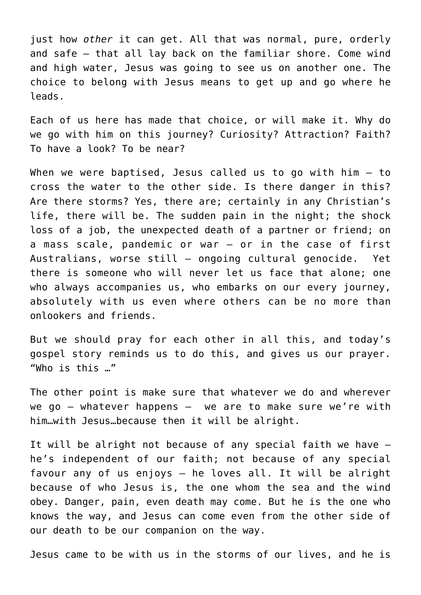just how *other* it can get. All that was normal, pure, orderly and safe – that all lay back on the familiar shore. Come wind and high water, Jesus was going to see us on another one. The choice to belong with Jesus means to get up and go where he leads.

Each of us here has made that choice, or will make it. Why do we go with him on this journey? Curiosity? Attraction? Faith? To have a look? To be near?

When we were baptised, Jesus called us to go with him – to cross the water to the other side. Is there danger in this? Are there storms? Yes, there are; certainly in any Christian's life, there will be. The sudden pain in the night; the shock loss of a job, the unexpected death of a partner or friend; on a mass scale, pandemic or war – or in the case of first Australians, worse still – ongoing cultural genocide. Yet there is someone who will never let us face that alone; one who always accompanies us, who embarks on our every journey, absolutely with us even where others can be no more than onlookers and friends.

But we should pray for each other in all this, and today's gospel story reminds us to do this, and gives us our prayer. "Who is this …"

The other point is make sure that whatever we do and wherever we go – whatever happens – we are to make sure we're with him…with Jesus…because then it will be alright.

It will be alright not because of any special faith we have – he's independent of our faith; not because of any special favour any of us enjoys – he loves all. It will be alright because of who Jesus is, the one whom the sea and the wind obey. Danger, pain, even death may come. But he is the one who knows the way, and Jesus can come even from the other side of our death to be our companion on the way.

Jesus came to be with us in the storms of our lives, and he is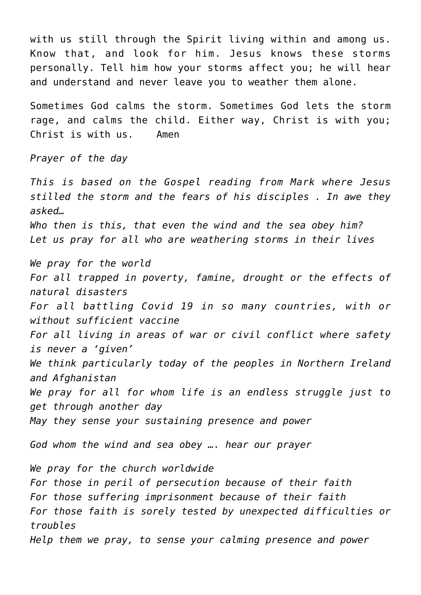with us still through the Spirit living within and among us. Know that, and look for him. Jesus knows these storms personally. Tell him how your storms affect you; he will hear and understand and never leave you to weather them alone.

Sometimes God calms the storm. Sometimes God lets the storm rage, and calms the child. Either way, Christ is with you; Christ is with us. Amen

*Prayer of the day*

*This is based on the Gospel reading from Mark where Jesus stilled the storm and the fears of his disciples . In awe they asked… Who then is this, that even the wind and the sea obey him? Let us pray for all who are weathering storms in their lives We pray for the world For all trapped in poverty, famine, drought or the effects of natural disasters*

*For all battling Covid 19 in so many countries, with or without sufficient vaccine*

*For all living in areas of war or civil conflict where safety is never a 'given'*

*We think particularly today of the peoples in Northern Ireland and Afghanistan*

*We pray for all for whom life is an endless struggle just to get through another day*

*May they sense your sustaining presence and power*

*God whom the wind and sea obey …. hear our prayer*

*We pray for the church worldwide For those in peril of persecution because of their faith For those suffering imprisonment because of their faith For those faith is sorely tested by unexpected difficulties or troubles Help them we pray, to sense your calming presence and power*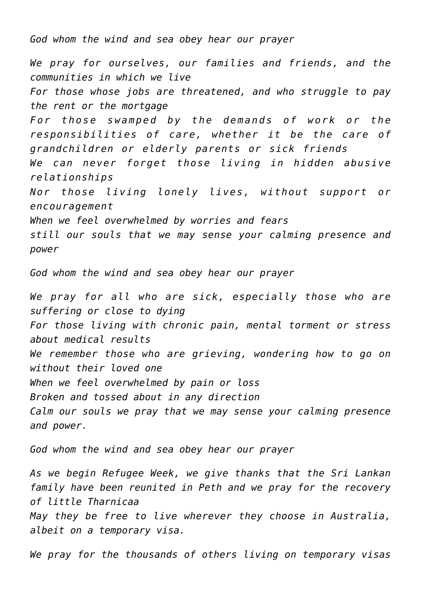*God whom the wind and sea obey hear our prayer*

*We pray for ourselves, our families and friends, and the communities in which we live For those whose jobs are threatened, and who struggle to pay the rent or the mortgage For those swamped by the demands of work or the responsibilities of care, whether it be the care of grandchildren or elderly parents or sick friends We can never forget those living in hidden abusive relationships Nor those living lonely lives, without support or encouragement When we feel overwhelmed by worries and fears still our souls that we may sense your calming presence and power*

*God whom the wind and sea obey hear our prayer*

*We pray for all who are sick, especially those who are suffering or close to dying For those living with chronic pain, mental torment or stress about medical results We remember those who are grieving, wondering how to go on without their loved one When we feel overwhelmed by pain or loss Broken and tossed about in any direction Calm our souls we pray that we may sense your calming presence and power.*

*God whom the wind and sea obey hear our prayer*

*As we begin Refugee Week, we give thanks that the Sri Lankan family have been reunited in Peth and we pray for the recovery of little Tharnicaa May they be free to live wherever they choose in Australia, albeit on a temporary visa.*

*We pray for the thousands of others living on temporary visas*